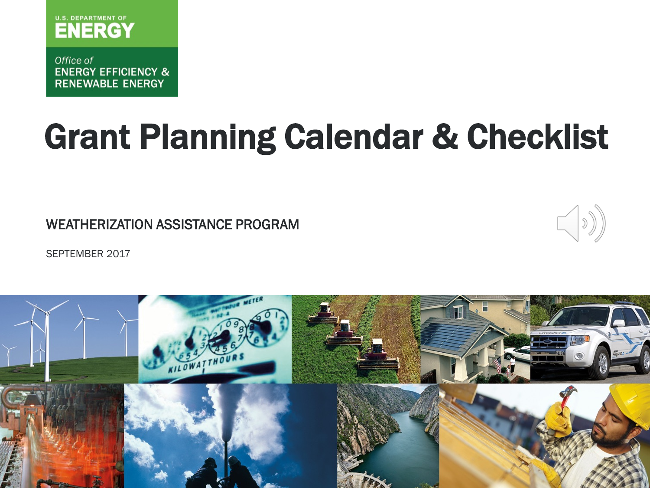

Office of **ENERGY EFFICIENCY & RENEWABLE ENERGY** 

# Grant Planning Calendar & Checklist

WEATHERIZATION ASSISTANCE PROGRAM



SEPTEMBER 2017

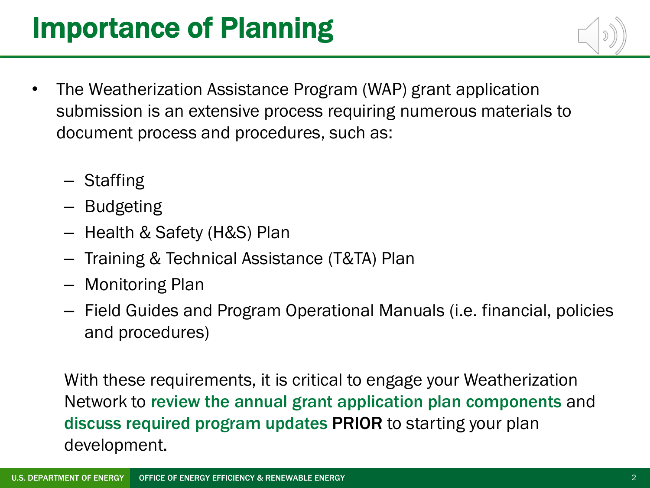### Importance of Planning

- The Weatherization Assistance Program (WAP) grant application submission is an extensive process requiring numerous materials to document process and procedures, such as:
	- Staffing
	- Budgeting
	- Health & Safety (H&S) Plan
	- Training & Technical Assistance (T&TA) Plan
	- Monitoring Plan
	- Field Guides and Program Operational Manuals (i.e. financial, policies and procedures)

With these requirements, it is critical to engage your Weatherization Network to review the annual grant application plan components and discuss required program updates PRIOR to starting your plan development.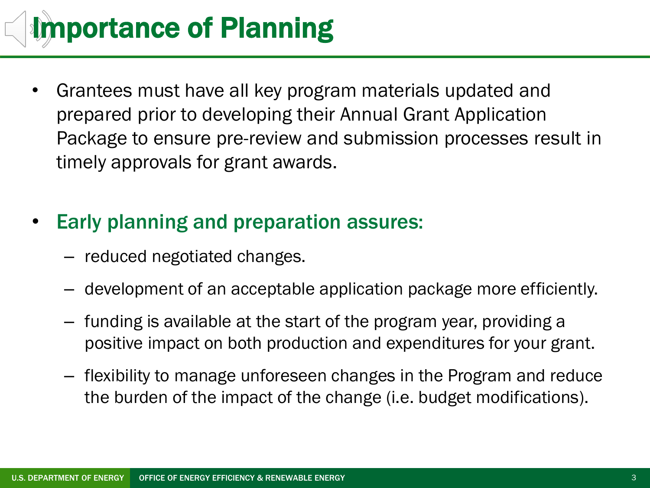## Importance of Planning

• Grantees must have all key program materials updated and prepared prior to developing their Annual Grant Application Package to ensure pre-review and submission processes result in timely approvals for grant awards.

### • Early planning and preparation assures:

- reduced negotiated changes.
- development of an acceptable application package more efficiently.
- funding is available at the start of the program year, providing a positive impact on both production and expenditures for your grant.
- flexibility to manage unforeseen changes in the Program and reduce the burden of the impact of the change (i.e. budget modifications).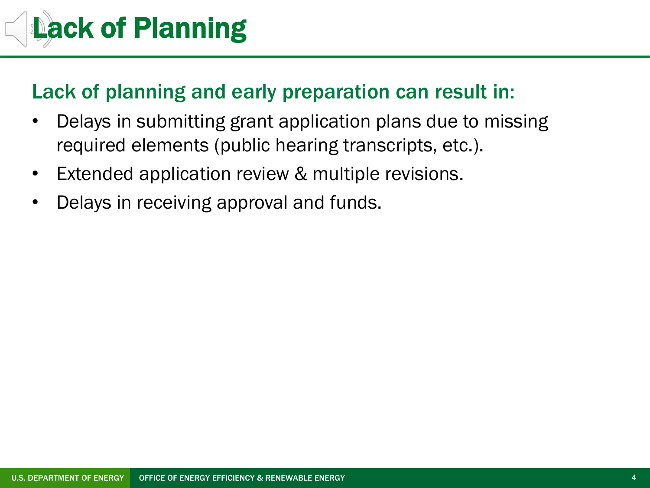# Lack of Planning

### Lack of planning and early preparation can result in:

- Delays in submitting grant application plans due to missing required elements (public hearing transcripts, etc.).
- Extended application review & multiple revisions.
- Delays in receiving approval and funds.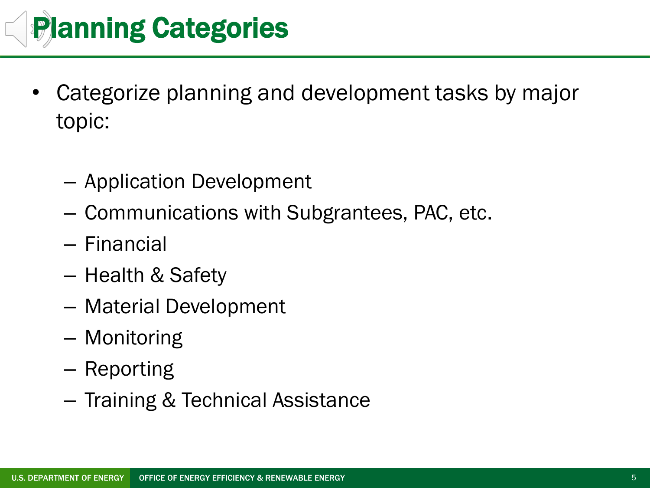

- Categorize planning and development tasks by major topic:
	- Application Development
	- Communications with Subgrantees, PAC, etc.
	- Financial
	- Health & Safety
	- Material Development
	- Monitoring
	- Reporting
	- Training & Technical Assistance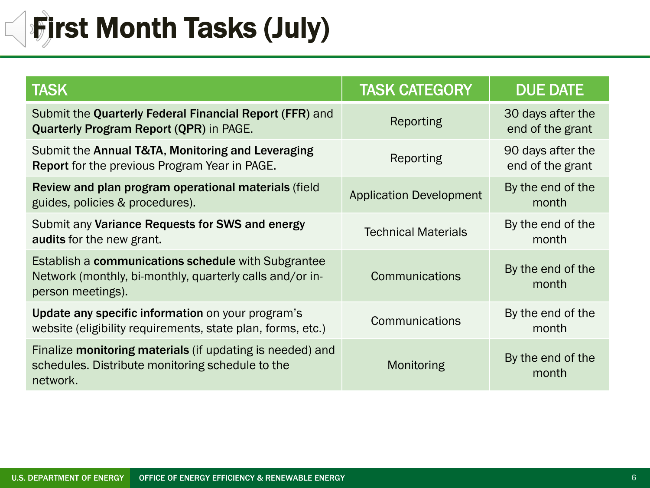#### **|First Month Tasks (July)**  $\overline{\Box}$

| <b>TASK</b>                                                                                                                          | <b>TASK CATEGORY</b>           | <b>DUE DATE</b>                       |
|--------------------------------------------------------------------------------------------------------------------------------------|--------------------------------|---------------------------------------|
| Submit the Quarterly Federal Financial Report (FFR) and<br><b>Quarterly Program Report (QPR) in PAGE.</b>                            | Reporting                      | 30 days after the<br>end of the grant |
| Submit the Annual T&TA, Monitoring and Leveraging<br><b>Report</b> for the previous Program Year in PAGE.                            | Reporting                      | 90 days after the<br>end of the grant |
| Review and plan program operational materials (field<br>guides, policies & procedures).                                              | <b>Application Development</b> | By the end of the<br>month            |
| Submit any Variance Requests for SWS and energy<br>audits for the new grant.                                                         | <b>Technical Materials</b>     | By the end of the<br>month            |
| Establish a communications schedule with Subgrantee<br>Network (monthly, bi-monthly, quarterly calls and/or in-<br>person meetings). | Communications                 | By the end of the<br>month            |
| Update any specific information on your program's<br>website (eligibility requirements, state plan, forms, etc.)                     | Communications                 | By the end of the<br>month            |
| Finalize monitoring materials (if updating is needed) and<br>schedules. Distribute monitoring schedule to the<br>network.            | Monitoring                     | By the end of the<br>month            |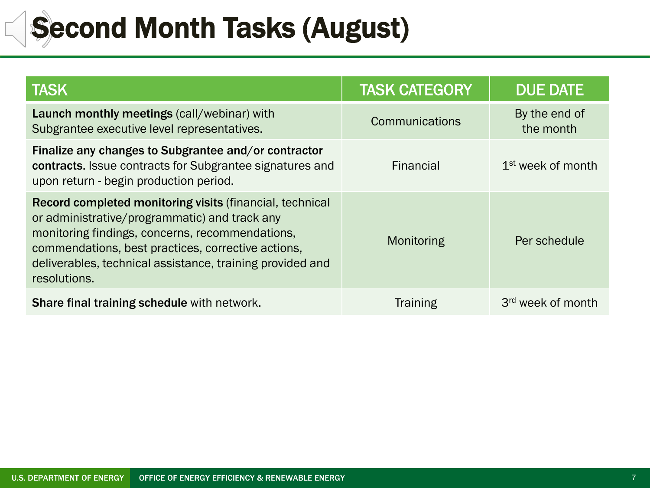### Second Month Tasks (August)

| <b>TASK</b>                                                                                                                                                                                                                                                                                     | <b>TASK CATEGORY</b> | <b>DUE DATE</b>               |
|-------------------------------------------------------------------------------------------------------------------------------------------------------------------------------------------------------------------------------------------------------------------------------------------------|----------------------|-------------------------------|
| Launch monthly meetings (call/webinar) with<br>Subgrantee executive level representatives.                                                                                                                                                                                                      | Communications       | By the end of<br>the month    |
| Finalize any changes to Subgrantee and/or contractor<br>contracts. Issue contracts for Subgrantee signatures and<br>upon return - begin production period.                                                                                                                                      | Financial            | 1 <sup>st</sup> week of month |
| Record completed monitoring visits (financial, technical<br>or administrative/programmatic) and track any<br>monitoring findings, concerns, recommendations,<br>commendations, best practices, corrective actions,<br>deliverables, technical assistance, training provided and<br>resolutions. | Monitoring           | Per schedule                  |
| Share final training schedule with network.                                                                                                                                                                                                                                                     | <b>Training</b>      | 3 <sup>rd</sup> week of month |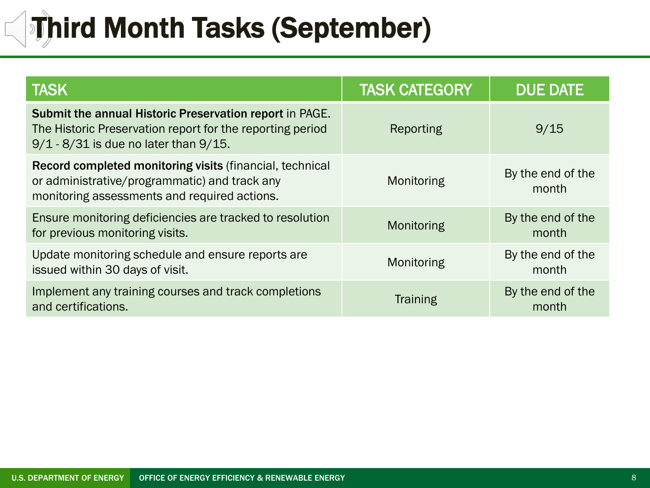## **Third Month Tasks (September)**

| <b>TASK</b>                                                                                                                                                        | <b>TASK CATEGORY</b> | <b>DUE DATE</b>            |
|--------------------------------------------------------------------------------------------------------------------------------------------------------------------|----------------------|----------------------------|
| Submit the annual Historic Preservation report in PAGE.<br>The Historic Preservation report for the reporting period<br>$9/1 - 8/31$ is due no later than $9/15$ . | Reporting            | 9/15                       |
| Record completed monitoring visits (financial, technical<br>or administrative/programmatic) and track any<br>monitoring assessments and required actions.          | Monitoring           | By the end of the<br>month |
| Ensure monitoring deficiencies are tracked to resolution<br>for previous monitoring visits.                                                                        | Monitoring           | By the end of the<br>month |
| Update monitoring schedule and ensure reports are<br>issued within 30 days of visit.                                                                               | Monitoring           | By the end of the<br>month |
| Implement any training courses and track completions<br>and certifications.                                                                                        | <b>Training</b>      | By the end of the<br>month |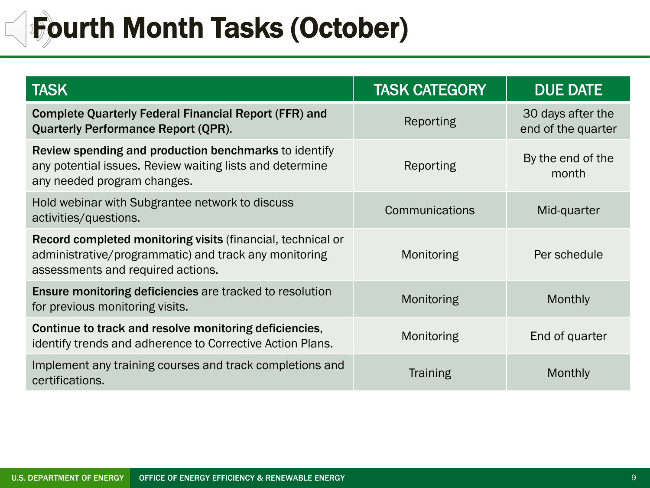### Fourth Month Tasks (October)

| <b>TASK</b>                                                                                                                                                      | <b>TASK CATEGORY</b> | <b>DUE DATE</b>                         |
|------------------------------------------------------------------------------------------------------------------------------------------------------------------|----------------------|-----------------------------------------|
| <b>Complete Quarterly Federal Financial Report (FFR) and</b><br><b>Quarterly Performance Report (QPR).</b>                                                       | Reporting            | 30 days after the<br>end of the quarter |
| Review spending and production benchmarks to identify<br>any potential issues. Review waiting lists and determine<br>any needed program changes.                 | Reporting            | By the end of the<br>month              |
| Hold webinar with Subgrantee network to discuss<br>activities/questions.                                                                                         | Communications       | Mid-quarter                             |
| <b>Record completed monitoring visits (financial, technical or</b><br>administrative/programmatic) and track any monitoring<br>assessments and required actions. | Monitoring           | Per schedule                            |
| <b>Ensure monitoring deficiencies are tracked to resolution</b><br>for previous monitoring visits.                                                               | Monitoring           | <b>Monthly</b>                          |
| Continue to track and resolve monitoring deficiencies,<br>identify trends and adherence to Corrective Action Plans.                                              | Monitoring           | End of quarter                          |
| Implement any training courses and track completions and<br>certifications.                                                                                      | <b>Training</b>      | Monthly                                 |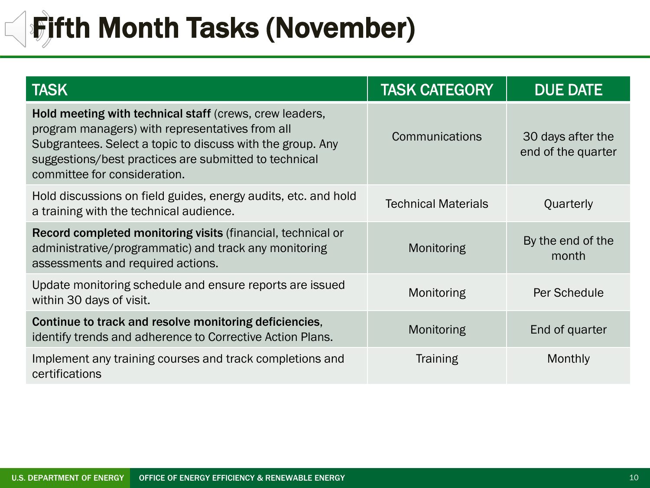#### **Fifth Month Tasks (November)**  $\overline{\phantom{a}}$

| <b>TASK</b>                                                                                                                                                                                                                                                       | <b>TASK CATEGORY</b>       | <b>DUE DATE</b>                         |
|-------------------------------------------------------------------------------------------------------------------------------------------------------------------------------------------------------------------------------------------------------------------|----------------------------|-----------------------------------------|
| Hold meeting with technical staff (crews, crew leaders,<br>program managers) with representatives from all<br>Subgrantees. Select a topic to discuss with the group. Any<br>suggestions/best practices are submitted to technical<br>committee for consideration. | Communications             | 30 days after the<br>end of the quarter |
| Hold discussions on field guides, energy audits, etc. and hold<br>a training with the technical audience.                                                                                                                                                         | <b>Technical Materials</b> | Quarterly                               |
| Record completed monitoring visits (financial, technical or<br>administrative/programmatic) and track any monitoring<br>assessments and required actions.                                                                                                         | Monitoring                 | By the end of the<br>month              |
| Update monitoring schedule and ensure reports are issued<br>within 30 days of visit.                                                                                                                                                                              | Monitoring                 | Per Schedule                            |
| Continue to track and resolve monitoring deficiencies,<br>identify trends and adherence to Corrective Action Plans.                                                                                                                                               | Monitoring                 | End of quarter                          |
| Implement any training courses and track completions and<br>certifications                                                                                                                                                                                        | <b>Training</b>            | Monthly                                 |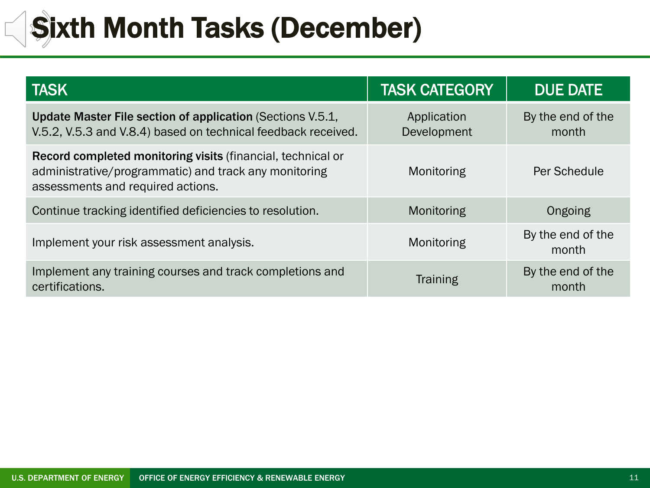#### Sixth Month Tasks (December) $\Box$

| <b>TASK</b>                                                                                                                                               | <b>TASK CATEGORY</b>       | <b>DUE DATE</b>            |
|-----------------------------------------------------------------------------------------------------------------------------------------------------------|----------------------------|----------------------------|
| Update Master File section of application (Sections V.5.1,<br>V.5.2, V.5.3 and V.8.4) based on technical feedback received.                               | Application<br>Development | By the end of the<br>month |
| Record completed monitoring visits (financial, technical or<br>administrative/programmatic) and track any monitoring<br>assessments and required actions. | Monitoring                 | Per Schedule               |
| Continue tracking identified deficiencies to resolution.                                                                                                  | Monitoring                 | Ongoing                    |
| Implement your risk assessment analysis.                                                                                                                  | Monitoring                 | By the end of the<br>month |
| Implement any training courses and track completions and<br>certifications.                                                                               | <b>Training</b>            | By the end of the<br>month |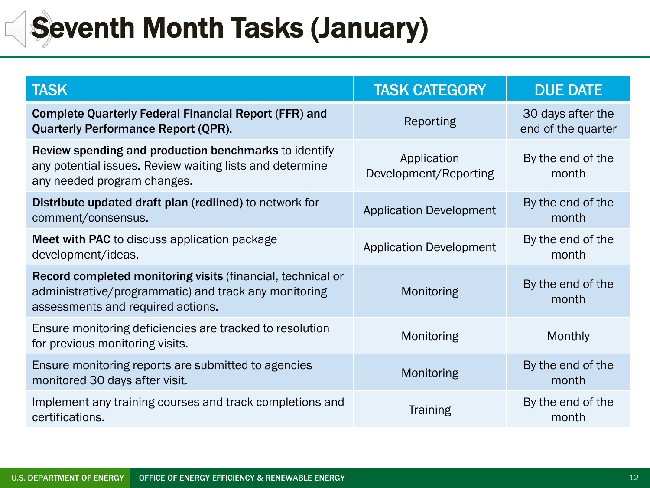### Seventh Month Tasks (January)

E

| <b>TASK</b>                                                                                                                                               | <b>TASK CATEGORY</b>                 | <b>DUE DATE</b>                         |
|-----------------------------------------------------------------------------------------------------------------------------------------------------------|--------------------------------------|-----------------------------------------|
| <b>Complete Quarterly Federal Financial Report (FFR) and</b><br><b>Quarterly Performance Report (QPR).</b>                                                | Reporting                            | 30 days after the<br>end of the quarter |
| Review spending and production benchmarks to identify<br>any potential issues. Review waiting lists and determine<br>any needed program changes.          | Application<br>Development/Reporting | By the end of the<br>month              |
| Distribute updated draft plan (redlined) to network for<br>comment/consensus.                                                                             | <b>Application Development</b>       | By the end of the<br>month              |
| Meet with PAC to discuss application package<br>development/ideas.                                                                                        | <b>Application Development</b>       | By the end of the<br>month              |
| Record completed monitoring visits (financial, technical or<br>administrative/programmatic) and track any monitoring<br>assessments and required actions. | Monitoring                           | By the end of the<br>month              |
| Ensure monitoring deficiencies are tracked to resolution<br>for previous monitoring visits.                                                               | Monitoring                           | Monthly                                 |
| Ensure monitoring reports are submitted to agencies<br>monitored 30 days after visit.                                                                     | Monitoring                           | By the end of the<br>month              |
| Implement any training courses and track completions and<br>certifications.                                                                               | <b>Training</b>                      | By the end of the<br>month              |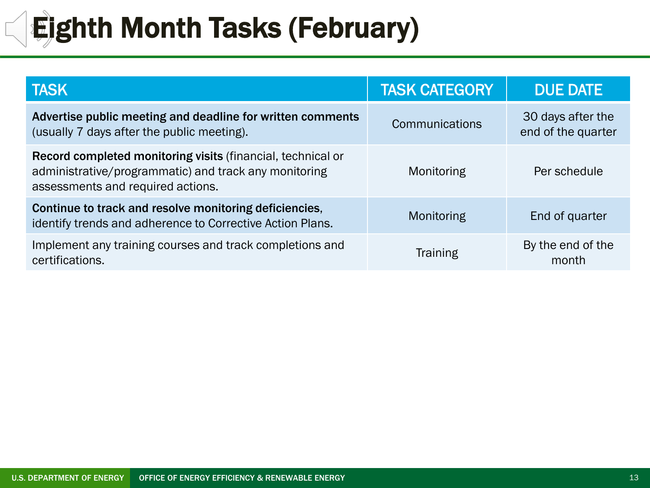#### **Eighth Month Tasks (February)**  $\overline{\phantom{a}}$

| <b>TASK</b>                                                                                                                                               | <b>TASK CATEGORY</b> | <b>DUE DATE</b>                         |
|-----------------------------------------------------------------------------------------------------------------------------------------------------------|----------------------|-----------------------------------------|
| Advertise public meeting and deadline for written comments<br>(usually 7 days after the public meeting).                                                  | Communications       | 30 days after the<br>end of the quarter |
| Record completed monitoring visits (financial, technical or<br>administrative/programmatic) and track any monitoring<br>assessments and required actions. | Monitoring           | Per schedule                            |
| Continue to track and resolve monitoring deficiencies,<br>identify trends and adherence to Corrective Action Plans.                                       | Monitoring           | End of quarter                          |
| Implement any training courses and track completions and<br>certifications.                                                                               | <b>Training</b>      | By the end of the<br>month              |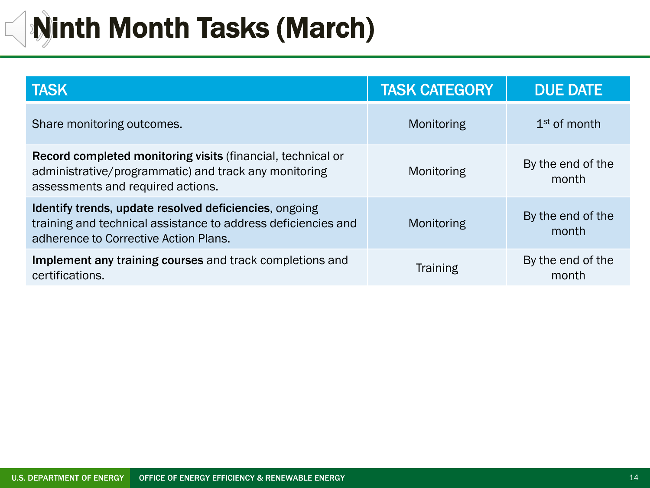## Ninth Month Tasks (March)

| <b>TASK</b>                                                                                                                                                      | <b>TASK CATEGORY</b> | <b>DUE DATE</b>            |
|------------------------------------------------------------------------------------------------------------------------------------------------------------------|----------------------|----------------------------|
| Share monitoring outcomes.                                                                                                                                       | Monitoring           | $1st$ of month             |
| Record completed monitoring visits (financial, technical or<br>administrative/programmatic) and track any monitoring<br>assessments and required actions.        | Monitoring           | By the end of the<br>month |
| Identify trends, update resolved deficiencies, ongoing<br>training and technical assistance to address deficiencies and<br>adherence to Corrective Action Plans. | Monitoring           | By the end of the<br>month |
| Implement any training courses and track completions and<br>certifications.                                                                                      | <b>Training</b>      | By the end of the<br>month |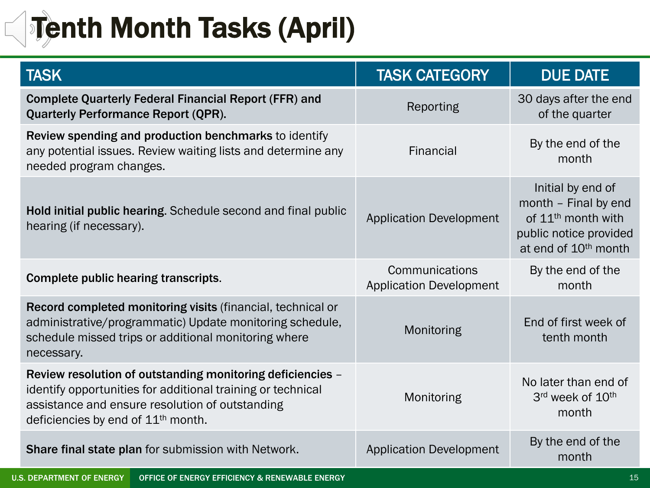## **Tenth Month Tasks (April)**

| <b>TASK</b>                                                                                                                                                                                                          | <b>TASK CATEGORY</b>                             | <b>DUE DATE</b>                                                                                                                           |
|----------------------------------------------------------------------------------------------------------------------------------------------------------------------------------------------------------------------|--------------------------------------------------|-------------------------------------------------------------------------------------------------------------------------------------------|
| <b>Complete Quarterly Federal Financial Report (FFR) and</b><br><b>Quarterly Performance Report (QPR).</b>                                                                                                           | Reporting                                        | 30 days after the end<br>of the quarter                                                                                                   |
| Review spending and production benchmarks to identify<br>any potential issues. Review waiting lists and determine any<br>needed program changes.                                                                     | Financial                                        | By the end of the<br>month                                                                                                                |
| Hold initial public hearing. Schedule second and final public<br>hearing (if necessary).                                                                                                                             | <b>Application Development</b>                   | Initial by end of<br>month - Final by end<br>of 11 <sup>th</sup> month with<br>public notice provided<br>at end of 10 <sup>th</sup> month |
| Complete public hearing transcripts.                                                                                                                                                                                 | Communications<br><b>Application Development</b> | By the end of the<br>month                                                                                                                |
| Record completed monitoring visits (financial, technical or<br>administrative/programmatic) Update monitoring schedule,<br>schedule missed trips or additional monitoring where<br>necessary.                        | Monitoring                                       | End of first week of<br>tenth month                                                                                                       |
| Review resolution of outstanding monitoring deficiencies -<br>identify opportunities for additional training or technical<br>assistance and ensure resolution of outstanding<br>deficiencies by end of $11th$ month. | Monitoring                                       | No later than end of<br>3rd week of 10th<br>month                                                                                         |
| Share final state plan for submission with Network.                                                                                                                                                                  | <b>Application Development</b>                   | By the end of the<br>month                                                                                                                |
| <b>U.S. DEPARTMENT OF ENERGY</b><br>OFFICE OF ENERGY EFFICIENCY & RENEWABLE ENERGY                                                                                                                                   |                                                  | 15                                                                                                                                        |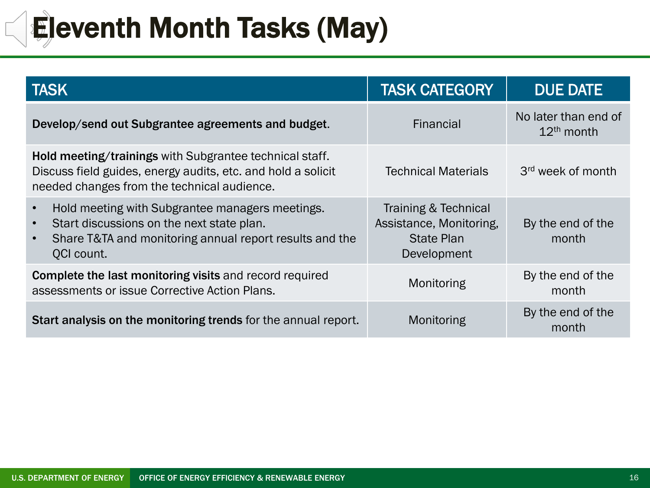### Eleventh Month Tasks (May)

 $\overline{\phantom{0}}$ 

| <b>TASK</b>                                                                                                                                                                        | <b>TASK CATEGORY</b>                                                                | <b>DUE DATE</b>                      |
|------------------------------------------------------------------------------------------------------------------------------------------------------------------------------------|-------------------------------------------------------------------------------------|--------------------------------------|
| Develop/send out Subgrantee agreements and budget.                                                                                                                                 | Financial                                                                           | No later than end of<br>$12th$ month |
| Hold meeting/trainings with Subgrantee technical staff.<br>Discuss field guides, energy audits, etc. and hold a solicit<br>needed changes from the technical audience.             | <b>Technical Materials</b>                                                          | 3 <sup>rd</sup> week of month        |
| Hold meeting with Subgrantee managers meetings.<br>Start discussions on the next state plan.<br>$\bullet$<br>Share T&TA and monitoring annual report results and the<br>QCI count. | Training & Technical<br>Assistance, Monitoring,<br><b>State Plan</b><br>Development | By the end of the<br>month           |
| <b>Complete the last monitoring visits and record required</b><br>assessments or issue Corrective Action Plans.                                                                    | Monitoring                                                                          | By the end of the<br>month           |
| Start analysis on the monitoring trends for the annual report.                                                                                                                     | Monitoring                                                                          | By the end of the<br>month           |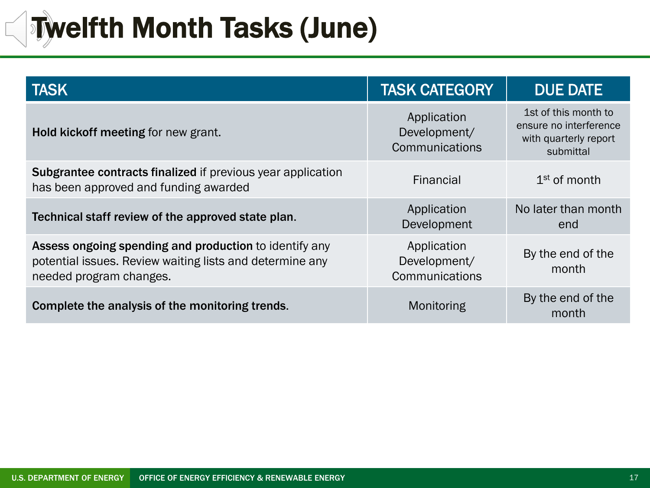### **Twelfth Month Tasks (June)**

| <b>TASK</b>                                                                                                                                   | <b>TASK CATEGORY</b>                          | <b>DUE DATE</b>                                                                      |
|-----------------------------------------------------------------------------------------------------------------------------------------------|-----------------------------------------------|--------------------------------------------------------------------------------------|
| Hold kickoff meeting for new grant.                                                                                                           | Application<br>Development/<br>Communications | 1st of this month to<br>ensure no interference<br>with quarterly report<br>submittal |
| <b>Subgrantee contracts finalized if previous year application</b><br>has been approved and funding awarded                                   | Financial                                     | $1st$ of month                                                                       |
| Technical staff review of the approved state plan.                                                                                            | Application<br>Development                    | No later than month<br>end                                                           |
| Assess ongoing spending and production to identify any<br>potential issues. Review waiting lists and determine any<br>needed program changes. | Application<br>Development/<br>Communications | By the end of the<br>month                                                           |
| Complete the analysis of the monitoring trends.                                                                                               | Monitoring                                    | By the end of the<br>month                                                           |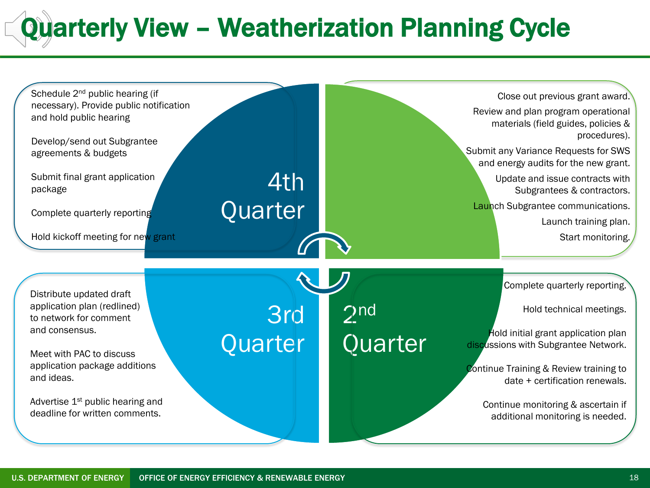### Quarterly View – Weatherization Planning Cycle